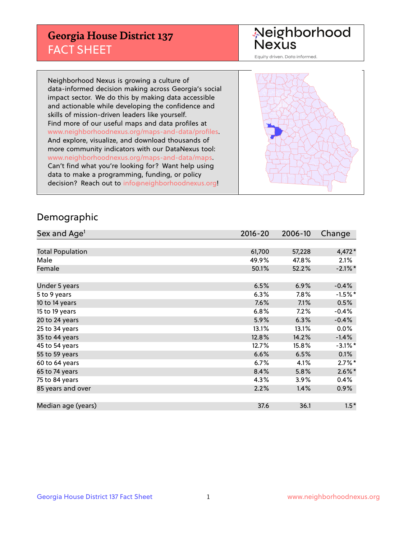## **Georgia House District 137** FACT SHEET

# Neighborhood<br>Nexus

Equity driven. Data informed.

Neighborhood Nexus is growing a culture of data-informed decision making across Georgia's social impact sector. We do this by making data accessible and actionable while developing the confidence and skills of mission-driven leaders like yourself. Find more of our useful maps and data profiles at www.neighborhoodnexus.org/maps-and-data/profiles. And explore, visualize, and download thousands of more community indicators with our DataNexus tool: www.neighborhoodnexus.org/maps-and-data/maps. Can't find what you're looking for? Want help using data to make a programming, funding, or policy decision? Reach out to [info@neighborhoodnexus.org!](mailto:info@neighborhoodnexus.org)



### Demographic

| Sex and Age <sup>1</sup> | $2016 - 20$ | 2006-10 | Change     |
|--------------------------|-------------|---------|------------|
|                          |             |         |            |
| <b>Total Population</b>  | 61,700      | 57,228  | 4,472*     |
| Male                     | 49.9%       | 47.8%   | 2.1%       |
| Female                   | 50.1%       | 52.2%   | $-2.1\%$ * |
|                          |             |         |            |
| Under 5 years            | 6.5%        | 6.9%    | $-0.4%$    |
| 5 to 9 years             | 6.3%        | 7.8%    | $-1.5%$ *  |
| 10 to 14 years           | 7.6%        | 7.1%    | 0.5%       |
| 15 to 19 years           | 6.8%        | 7.2%    | $-0.4%$    |
| 20 to 24 years           | 5.9%        | 6.3%    | $-0.4%$    |
| 25 to 34 years           | 13.1%       | 13.1%   | $0.0\%$    |
| 35 to 44 years           | 12.8%       | 14.2%   | $-1.4%$    |
| 45 to 54 years           | 12.7%       | 15.8%   | $-3.1\%$ * |
| 55 to 59 years           | 6.6%        | 6.5%    | 0.1%       |
| 60 to 64 years           | $6.7\%$     | 4.1%    | $2.7\%$ *  |
| 65 to 74 years           | 8.4%        | 5.8%    | $2.6\%$ *  |
| 75 to 84 years           | 4.3%        | 3.9%    | $0.4\%$    |
| 85 years and over        | 2.2%        | 1.4%    | $0.9\%$    |
|                          |             |         |            |
| Median age (years)       | 37.6        | 36.1    | $1.5*$     |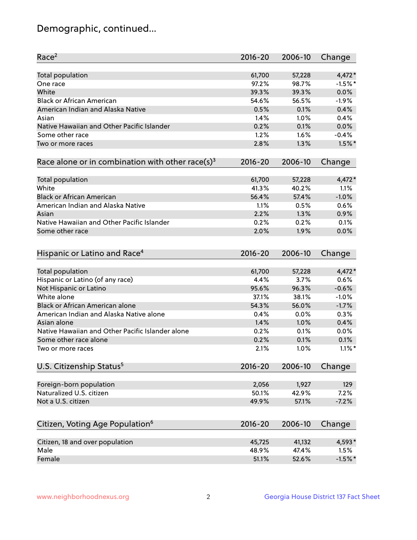## Demographic, continued...

| Race <sup>2</sup>                                            | $2016 - 20$ | 2006-10 | Change    |
|--------------------------------------------------------------|-------------|---------|-----------|
| <b>Total population</b>                                      | 61,700      | 57,228  | 4,472*    |
| One race                                                     | 97.2%       | 98.7%   | $-1.5%$ * |
| White                                                        | 39.3%       | 39.3%   | 0.0%      |
| <b>Black or African American</b>                             | 54.6%       | 56.5%   | $-1.9%$   |
| American Indian and Alaska Native                            | 0.5%        | 0.1%    | 0.4%      |
| Asian                                                        | 1.4%        | 1.0%    | 0.4%      |
| Native Hawaiian and Other Pacific Islander                   | 0.2%        | 0.1%    | 0.0%      |
| Some other race                                              | 1.2%        | 1.6%    | $-0.4%$   |
| Two or more races                                            | 2.8%        | 1.3%    | $1.5\%$ * |
| Race alone or in combination with other race(s) <sup>3</sup> | $2016 - 20$ | 2006-10 | Change    |
| Total population                                             | 61,700      | 57,228  | $4,472*$  |
| White                                                        | 41.3%       | 40.2%   | 1.1%      |
| <b>Black or African American</b>                             | 56.4%       | 57.4%   | $-1.0%$   |
| American Indian and Alaska Native                            | 1.1%        | 0.5%    | 0.6%      |
| Asian                                                        | 2.2%        | 1.3%    | 0.9%      |
| Native Hawaiian and Other Pacific Islander                   | 0.2%        | 0.2%    | 0.1%      |
| Some other race                                              | 2.0%        | 1.9%    | 0.0%      |
| Hispanic or Latino and Race <sup>4</sup>                     | $2016 - 20$ | 2006-10 | Change    |
| <b>Total population</b>                                      | 61,700      | 57,228  | 4,472*    |
| Hispanic or Latino (of any race)                             | 4.4%        | 3.7%    | 0.6%      |
| Not Hispanic or Latino                                       | 95.6%       | 96.3%   | $-0.6%$   |
| White alone                                                  | 37.1%       | 38.1%   | $-1.0%$   |
| <b>Black or African American alone</b>                       | 54.3%       | 56.0%   | $-1.7%$   |
| American Indian and Alaska Native alone                      | 0.4%        | 0.0%    | 0.3%      |
| Asian alone                                                  | 1.4%        | 1.0%    | 0.4%      |
| Native Hawaiian and Other Pacific Islander alone             | 0.2%        | 0.1%    | 0.0%      |
| Some other race alone                                        | 0.2%        | 0.1%    | 0.1%      |
| Two or more races                                            | 2.1%        | 1.0%    | $1.1\%$ * |
| U.S. Citizenship Status <sup>5</sup>                         | $2016 - 20$ | 2006-10 | Change    |
| Foreign-born population                                      | 2,056       | 1,927   | 129       |
| Naturalized U.S. citizen                                     | 50.1%       | 42.9%   | 7.2%      |
| Not a U.S. citizen                                           | 49.9%       | 57.1%   | $-7.2%$   |
|                                                              |             |         |           |
| Citizen, Voting Age Population <sup>6</sup>                  | $2016 - 20$ | 2006-10 | Change    |
| Citizen, 18 and over population                              | 45,725      | 41,132  | 4,593*    |
| Male                                                         | 48.9%       | 47.4%   | 1.5%      |
| Female                                                       | 51.1%       | 52.6%   | $-1.5%$ * |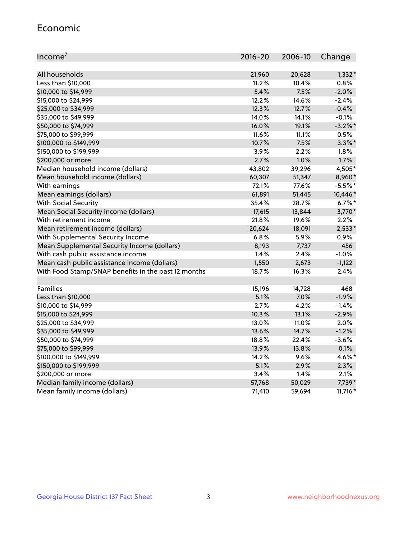#### Economic

| Income <sup>7</sup>                                 | $2016 - 20$ | 2006-10 | Change     |
|-----------------------------------------------------|-------------|---------|------------|
|                                                     |             |         |            |
| All households                                      | 21,960      | 20,628  | $1,332*$   |
| Less than \$10,000                                  | 11.2%       | 10.4%   | 0.8%       |
| \$10,000 to \$14,999                                | 5.4%        | 7.5%    | $-2.0%$    |
| \$15,000 to \$24,999                                | 12.2%       | 14.6%   | $-2.4%$    |
| \$25,000 to \$34,999                                | 12.3%       | 12.7%   | $-0.4%$    |
| \$35,000 to \$49,999                                | 14.0%       | 14.1%   | $-0.1%$    |
| \$50,000 to \$74,999                                | 16.0%       | 19.1%   | $-3.2\%$ * |
| \$75,000 to \$99,999                                | 11.6%       | 11.1%   | 0.5%       |
| \$100,000 to \$149,999                              | 10.7%       | 7.5%    | $3.3\%$ *  |
| \$150,000 to \$199,999                              | 3.9%        | 2.2%    | 1.8%       |
| \$200,000 or more                                   | 2.7%        | 1.0%    | 1.7%       |
| Median household income (dollars)                   | 43,802      | 39,296  | 4,505*     |
| Mean household income (dollars)                     | 60,307      | 51,347  | 8,960*     |
| With earnings                                       | 72.1%       | 77.6%   | $-5.5%$ *  |
| Mean earnings (dollars)                             | 61,891      | 51,445  | 10,446*    |
| <b>With Social Security</b>                         | 35.4%       | 28.7%   | $6.7%$ *   |
| Mean Social Security income (dollars)               | 17,615      | 13,844  | 3,770*     |
| With retirement income                              | 21.8%       | 19.6%   | 2.2%       |
| Mean retirement income (dollars)                    | 20,624      | 18,091  | $2,533*$   |
| With Supplemental Security Income                   | $6.8\%$     | 5.9%    | 0.9%       |
| Mean Supplemental Security Income (dollars)         | 8,193       | 7,737   | 456        |
| With cash public assistance income                  | 1.4%        | 2.4%    | $-1.0%$    |
| Mean cash public assistance income (dollars)        | 1,550       | 2,673   | $-1,122$   |
| With Food Stamp/SNAP benefits in the past 12 months | 18.7%       | 16.3%   | 2.4%       |
|                                                     |             |         |            |
| Families                                            | 15,196      | 14,728  | 468        |
| Less than \$10,000                                  | 5.1%        | 7.0%    | $-1.9%$    |
| \$10,000 to \$14,999                                | 2.7%        | 4.2%    | $-1.4%$    |
| \$15,000 to \$24,999                                | 10.3%       | 13.1%   | $-2.9%$    |
| \$25,000 to \$34,999                                | 13.0%       | 11.0%   | 2.0%       |
| \$35,000 to \$49,999                                | 13.6%       | 14.7%   | $-1.2%$    |
| \$50,000 to \$74,999                                | 18.8%       | 22.4%   | $-3.6%$    |
| \$75,000 to \$99,999                                | 13.9%       | 13.8%   | 0.1%       |
| \$100,000 to \$149,999                              | 14.2%       | $9.6\%$ | 4.6%*      |
| \$150,000 to \$199,999                              | 5.1%        | 2.9%    | 2.3%       |
| \$200,000 or more                                   | $3.4\%$     | 1.4%    | 2.1%       |
| Median family income (dollars)                      | 57,768      | 50,029  | 7,739*     |
| Mean family income (dollars)                        | 71,410      | 59,694  | $11,716*$  |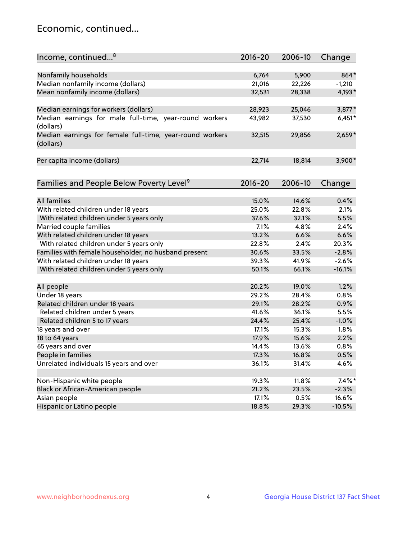## Economic, continued...

| Income, continued <sup>8</sup>                                        | $2016 - 20$ | 2006-10 | Change    |
|-----------------------------------------------------------------------|-------------|---------|-----------|
|                                                                       |             |         |           |
| Nonfamily households                                                  | 6,764       | 5,900   | 864*      |
| Median nonfamily income (dollars)                                     | 21,016      | 22,226  | $-1,210$  |
| Mean nonfamily income (dollars)                                       | 32,531      | 28,338  | 4,193*    |
|                                                                       |             |         |           |
| Median earnings for workers (dollars)                                 | 28,923      | 25,046  | 3,877*    |
| Median earnings for male full-time, year-round workers<br>(dollars)   | 43,982      | 37,530  | $6,451*$  |
| Median earnings for female full-time, year-round workers<br>(dollars) | 32,515      | 29,856  | $2,659*$  |
| Per capita income (dollars)                                           | 22,714      | 18,814  | $3,900*$  |
|                                                                       |             |         |           |
| Families and People Below Poverty Level <sup>9</sup>                  | 2016-20     | 2006-10 | Change    |
|                                                                       |             |         |           |
| <b>All families</b>                                                   | 15.0%       | 14.6%   | 0.4%      |
| With related children under 18 years                                  | 25.0%       | 22.8%   | 2.1%      |
| With related children under 5 years only                              | 37.6%       | 32.1%   | 5.5%      |
| Married couple families                                               | 7.1%        | 4.8%    | 2.4%      |
| With related children under 18 years                                  | 13.2%       | 6.6%    | 6.6%      |
| With related children under 5 years only                              | 22.8%       | 2.4%    | 20.3%     |
| Families with female householder, no husband present                  | 30.6%       | 33.5%   | $-2.8%$   |
| With related children under 18 years                                  | 39.3%       | 41.9%   | $-2.6%$   |
| With related children under 5 years only                              | 50.1%       | 66.1%   | $-16.1%$  |
|                                                                       |             |         |           |
| All people                                                            | 20.2%       | 19.0%   | 1.2%      |
| Under 18 years                                                        | 29.2%       | 28.4%   | 0.8%      |
| Related children under 18 years                                       | 29.1%       | 28.2%   | 0.9%      |
| Related children under 5 years                                        | 41.6%       | 36.1%   | 5.5%      |
| Related children 5 to 17 years                                        | 24.4%       | 25.4%   | $-1.0%$   |
| 18 years and over                                                     | 17.1%       | 15.3%   | 1.8%      |
| 18 to 64 years                                                        | 17.9%       | 15.6%   | 2.2%      |
| 65 years and over                                                     | 14.4%       | 13.6%   | 0.8%      |
| People in families                                                    | 17.3%       | 16.8%   | 0.5%      |
| Unrelated individuals 15 years and over                               | 36.1%       | 31.4%   | 4.6%      |
|                                                                       |             |         |           |
| Non-Hispanic white people                                             | 19.3%       | 11.8%   | $7.4\%$ * |
| Black or African-American people                                      | 21.2%       | 23.5%   | $-2.3%$   |
| Asian people                                                          | 17.1%       | 0.5%    | 16.6%     |
| Hispanic or Latino people                                             | 18.8%       | 29.3%   | $-10.5%$  |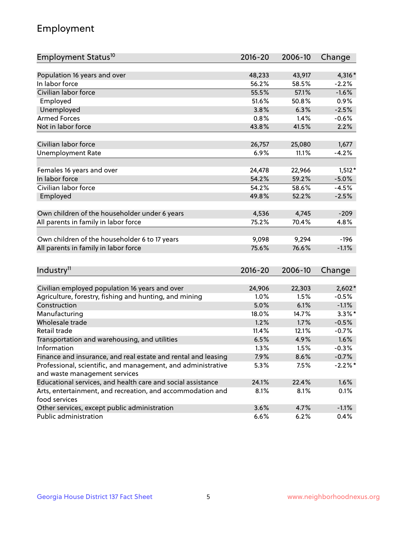## Employment

| Employment Status <sup>10</sup>                                             | $2016 - 20$ | 2006-10 | Change     |
|-----------------------------------------------------------------------------|-------------|---------|------------|
|                                                                             |             |         |            |
| Population 16 years and over                                                | 48,233      | 43,917  | 4,316*     |
| In labor force                                                              | 56.2%       | 58.5%   | $-2.2%$    |
| Civilian labor force                                                        | 55.5%       | 57.1%   | $-1.6%$    |
| Employed                                                                    | 51.6%       | 50.8%   | 0.9%       |
| Unemployed                                                                  | 3.8%        | 6.3%    | $-2.5%$    |
| <b>Armed Forces</b>                                                         | 0.8%        | $1.4\%$ | $-0.6%$    |
| Not in labor force                                                          | 43.8%       | 41.5%   | 2.2%       |
|                                                                             |             |         |            |
| Civilian labor force                                                        | 26,757      | 25,080  | 1,677      |
| <b>Unemployment Rate</b>                                                    | 6.9%        | 11.1%   | $-4.2%$    |
| Females 16 years and over                                                   | 24,478      | 22,966  | $1,512*$   |
| In labor force                                                              | 54.2%       | 59.2%   | $-5.0%$    |
| Civilian labor force                                                        | 54.2%       | 58.6%   | $-4.5%$    |
| Employed                                                                    | 49.8%       | 52.2%   | $-2.5%$    |
|                                                                             |             |         |            |
| Own children of the householder under 6 years                               | 4,536       | 4,745   | $-209$     |
| All parents in family in labor force                                        | 75.2%       | 70.4%   | 4.8%       |
|                                                                             |             |         |            |
| Own children of the householder 6 to 17 years                               | 9,098       | 9,294   | $-196$     |
| All parents in family in labor force                                        | 75.6%       | 76.6%   | $-1.1%$    |
|                                                                             |             |         |            |
| Industry <sup>11</sup>                                                      | $2016 - 20$ | 2006-10 | Change     |
|                                                                             |             |         |            |
| Civilian employed population 16 years and over                              | 24,906      | 22,303  | $2,602*$   |
| Agriculture, forestry, fishing and hunting, and mining                      | 1.0%        | 1.5%    | $-0.5%$    |
| Construction                                                                | 5.0%        | 6.1%    | $-1.1%$    |
| Manufacturing                                                               | 18.0%       | 14.7%   | $3.3\%$ *  |
| Wholesale trade                                                             | 1.2%        | 1.7%    | $-0.5%$    |
| Retail trade                                                                | 11.4%       | 12.1%   | $-0.7%$    |
| Transportation and warehousing, and utilities                               | 6.5%        | 4.9%    | 1.6%       |
| Information                                                                 | 1.3%        | 1.5%    | $-0.3%$    |
| Finance and insurance, and real estate and rental and leasing               | 7.9%        | 8.6%    | $-0.7%$    |
| Professional, scientific, and management, and administrative                | 5.3%        | 7.5%    | $-2.2\%$ * |
| and waste management services                                               |             |         |            |
| Educational services, and health care and social assistance                 | 24.1%       | 22.4%   | 1.6%       |
| Arts, entertainment, and recreation, and accommodation and<br>food services | 8.1%        | 8.1%    | 0.1%       |
| Other services, except public administration                                | 3.6%        | 4.7%    | $-1.1%$    |
| Public administration                                                       | 6.6%        | 6.2%    | 0.4%       |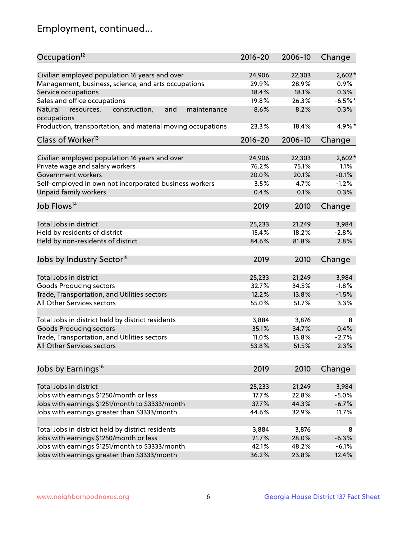## Employment, continued...

| Occupation <sup>12</sup>                                     | $2016 - 20$ | 2006-10 | Change    |
|--------------------------------------------------------------|-------------|---------|-----------|
| Civilian employed population 16 years and over               | 24,906      | 22,303  | $2,602*$  |
| Management, business, science, and arts occupations          | 29.9%       | 28.9%   | 0.9%      |
| Service occupations                                          | 18.4%       | 18.1%   | 0.3%      |
| Sales and office occupations                                 | 19.8%       | 26.3%   | $-6.5%$ * |
| Natural<br>and<br>resources,<br>construction,<br>maintenance | 8.6%        | 8.2%    | 0.3%      |
| occupations                                                  |             |         |           |
| Production, transportation, and material moving occupations  | 23.3%       | 18.4%   | 4.9%*     |
| Class of Worker <sup>13</sup>                                | $2016 - 20$ | 2006-10 | Change    |
|                                                              |             |         |           |
| Civilian employed population 16 years and over               | 24,906      | 22,303  | $2,602*$  |
| Private wage and salary workers                              | 76.2%       | 75.1%   | 1.1%      |
| Government workers                                           | 20.0%       | 20.1%   | $-0.1%$   |
| Self-employed in own not incorporated business workers       | 3.5%        | 4.7%    | $-1.2%$   |
| Unpaid family workers                                        | 0.4%        | 0.1%    | 0.3%      |
| Job Flows <sup>14</sup>                                      | 2019        | 2010    | Change    |
|                                                              |             |         |           |
| Total Jobs in district                                       | 25,233      | 21,249  | 3,984     |
| Held by residents of district                                | 15.4%       | 18.2%   | $-2.8%$   |
| Held by non-residents of district                            | 84.6%       | 81.8%   | 2.8%      |
| Jobs by Industry Sector <sup>15</sup>                        | 2019        | 2010    | Change    |
|                                                              |             |         |           |
| Total Jobs in district                                       | 25,233      | 21,249  | 3,984     |
| Goods Producing sectors                                      | 32.7%       | 34.5%   | $-1.8%$   |
| Trade, Transportation, and Utilities sectors                 | 12.2%       | 13.8%   | $-1.5%$   |
| All Other Services sectors                                   | 55.0%       | 51.7%   | 3.3%      |
| Total Jobs in district held by district residents            | 3,884       | 3,876   | 8         |
| <b>Goods Producing sectors</b>                               | 35.1%       | 34.7%   | 0.4%      |
| Trade, Transportation, and Utilities sectors                 | 11.0%       | 13.8%   | $-2.7%$   |
| All Other Services sectors                                   | 53.8%       | 51.5%   | 2.3%      |
|                                                              |             |         |           |
| Jobs by Earnings <sup>16</sup>                               | 2019        | 2010    | Change    |
|                                                              |             |         |           |
| Total Jobs in district                                       | 25,233      | 21,249  | 3,984     |
| Jobs with earnings \$1250/month or less                      | 17.7%       | 22.8%   | $-5.0%$   |
| Jobs with earnings \$1251/month to \$3333/month              | 37.7%       | 44.3%   | $-6.7%$   |
| Jobs with earnings greater than \$3333/month                 | 44.6%       | 32.9%   | 11.7%     |
| Total Jobs in district held by district residents            | 3,884       | 3,876   | 8         |
| Jobs with earnings \$1250/month or less                      | 21.7%       | 28.0%   | $-6.3%$   |
| Jobs with earnings \$1251/month to \$3333/month              | 42.1%       | 48.2%   | $-6.1%$   |
| Jobs with earnings greater than \$3333/month                 | 36.2%       | 23.8%   | 12.4%     |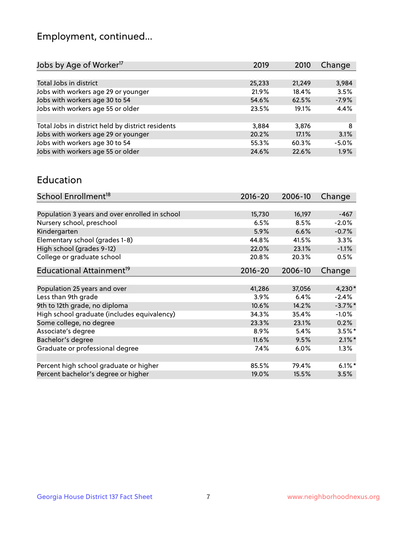## Employment, continued...

| 2019   | 2010   | Change  |
|--------|--------|---------|
|        |        |         |
| 25,233 | 21,249 | 3,984   |
| 21.9%  | 18.4%  | 3.5%    |
| 54.6%  | 62.5%  | $-7.9%$ |
| 23.5%  | 19.1%  | 4.4%    |
|        |        |         |
| 3,884  | 3,876  | 8       |
| 20.2%  | 17.1%  | 3.1%    |
| 55.3%  | 60.3%  | $-5.0%$ |
| 24.6%  | 22.6%  | 1.9%    |
|        |        |         |

#### Education

| School Enrollment <sup>18</sup>                | $2016 - 20$ | 2006-10 | Change     |
|------------------------------------------------|-------------|---------|------------|
|                                                |             |         |            |
| Population 3 years and over enrolled in school | 15,730      | 16,197  | $-467$     |
| Nursery school, preschool                      | 6.5%        | 8.5%    | $-2.0%$    |
| Kindergarten                                   | 5.9%        | 6.6%    | $-0.7%$    |
| Elementary school (grades 1-8)                 | 44.8%       | 41.5%   | 3.3%       |
| High school (grades 9-12)                      | 22.0%       | 23.1%   | $-1.1%$    |
| College or graduate school                     | 20.8%       | 20.3%   | 0.5%       |
| Educational Attainment <sup>19</sup>           | $2016 - 20$ | 2006-10 | Change     |
|                                                |             |         |            |
| Population 25 years and over                   | 41,286      | 37,056  | $4,230*$   |
| Less than 9th grade                            | 3.9%        | 6.4%    | $-2.4%$    |
| 9th to 12th grade, no diploma                  | 10.6%       | 14.2%   | $-3.7\%$ * |
| High school graduate (includes equivalency)    | 34.3%       | 35.4%   | $-1.0%$    |
| Some college, no degree                        | 23.3%       | 23.1%   | 0.2%       |
| Associate's degree                             | 8.9%        | 5.4%    | $3.5%$ *   |
| Bachelor's degree                              | 11.6%       | 9.5%    | $2.1\%$ *  |
| Graduate or professional degree                | 7.4%        | 6.0%    | $1.3\%$    |
|                                                |             |         |            |
| Percent high school graduate or higher         | 85.5%       | 79.4%   | $6.1\%$ *  |
| Percent bachelor's degree or higher            | 19.0%       | 15.5%   | 3.5%       |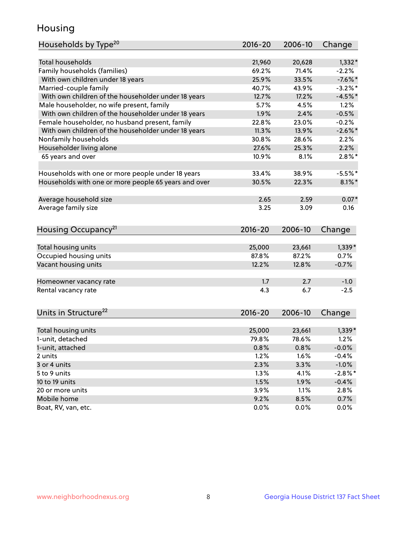## Housing

| Households by Type <sup>20</sup>                     | 2016-20 | 2006-10 | Change     |
|------------------------------------------------------|---------|---------|------------|
|                                                      |         |         |            |
| <b>Total households</b>                              | 21,960  | 20,628  | $1,332*$   |
| Family households (families)                         | 69.2%   | 71.4%   | $-2.2%$    |
| With own children under 18 years                     | 25.9%   | 33.5%   | $-7.6%$    |
| Married-couple family                                | 40.7%   | 43.9%   | $-3.2%$ *  |
| With own children of the householder under 18 years  | 12.7%   | 17.2%   | $-4.5%$ *  |
| Male householder, no wife present, family            | 5.7%    | 4.5%    | 1.2%       |
| With own children of the householder under 18 years  | 1.9%    | 2.4%    | $-0.5%$    |
| Female householder, no husband present, family       | 22.8%   | 23.0%   | $-0.2%$    |
| With own children of the householder under 18 years  | 11.3%   | 13.9%   | $-2.6\%$ * |
| Nonfamily households                                 | 30.8%   | 28.6%   | 2.2%       |
| Householder living alone                             | 27.6%   | 25.3%   | 2.2%       |
| 65 years and over                                    | 10.9%   | 8.1%    | $2.8\%$ *  |
|                                                      |         |         |            |
| Households with one or more people under 18 years    | 33.4%   | 38.9%   | $-5.5%$    |
| Households with one or more people 65 years and over | 30.5%   | 22.3%   | $8.1\%$    |
| Average household size                               | 2.65    | 2.59    | $0.07*$    |
| Average family size                                  | 3.25    | 3.09    | 0.16       |
| Housing Occupancy <sup>21</sup>                      | 2016-20 | 2006-10 | Change     |
|                                                      |         |         |            |
| Total housing units                                  | 25,000  | 23,661  | $1,339*$   |
| Occupied housing units                               | 87.8%   | 87.2%   | 0.7%       |
| Vacant housing units                                 | 12.2%   | 12.8%   | $-0.7%$    |
|                                                      |         |         |            |
| Homeowner vacancy rate                               | 1.7     | 2.7     | $-1.0$     |
| Rental vacancy rate                                  | 4.3     | 6.7     | $-2.5$     |
| Units in Structure <sup>22</sup>                     | 2016-20 | 2006-10 | Change     |
|                                                      |         |         |            |
| Total housing units                                  | 25,000  | 23,661  | $1,339*$   |
| 1-unit, detached                                     | 79.8%   | 78.6%   | 1.2%       |
| 1-unit, attached                                     | 0.8%    | 0.8%    | $-0.0%$    |
| 2 units                                              | 1.2%    | 1.6%    | $-0.4%$    |
| 3 or 4 units                                         | 2.3%    | 3.3%    | $-1.0%$    |
| 5 to 9 units                                         | 1.3%    | 4.1%    | $-2.8\%$ * |
| 10 to 19 units                                       | 1.5%    | 1.9%    | $-0.4%$    |
| 20 or more units                                     | 3.9%    | 1.1%    | 2.8%       |
| Mobile home                                          | 9.2%    | 8.5%    | 0.7%       |
| Boat, RV, van, etc.                                  | 0.0%    | 0.0%    | $0.0\%$    |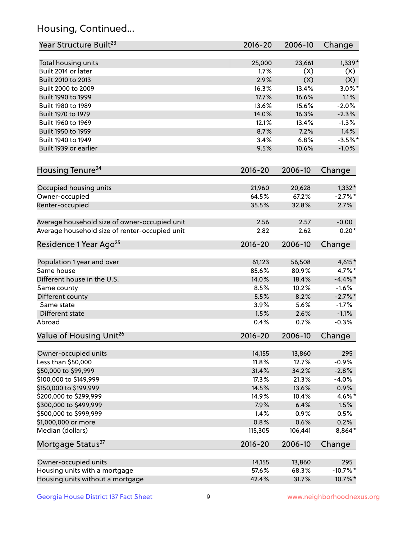## Housing, Continued...

| Year Structure Built <sup>23</sup>             | 2016-20     | 2006-10 | Change      |
|------------------------------------------------|-------------|---------|-------------|
| Total housing units                            | 25,000      | 23,661  | $1,339*$    |
| Built 2014 or later                            | 1.7%        | (X)     | (X)         |
| Built 2010 to 2013                             | 2.9%        | (X)     | (X)         |
| Built 2000 to 2009                             | 16.3%       | 13.4%   | $3.0\%$ *   |
| Built 1990 to 1999                             | 17.7%       | 16.6%   | 1.1%        |
| Built 1980 to 1989                             | 13.6%       | 15.6%   | $-2.0%$     |
| Built 1970 to 1979                             | 14.0%       | 16.3%   | $-2.3%$     |
| Built 1960 to 1969                             | 12.1%       | 13.4%   | $-1.3%$     |
| Built 1950 to 1959                             | 8.7%        | 7.2%    | 1.4%        |
| Built 1940 to 1949                             | 3.4%        | 6.8%    | $-3.5%$ *   |
| Built 1939 or earlier                          | 9.5%        | 10.6%   | $-1.0%$     |
| Housing Tenure <sup>24</sup>                   | $2016 - 20$ | 2006-10 | Change      |
|                                                |             |         |             |
| Occupied housing units                         | 21,960      | 20,628  | $1,332*$    |
| Owner-occupied                                 | 64.5%       | 67.2%   | $-2.7\%$ *  |
| Renter-occupied                                | 35.5%       | 32.8%   | 2.7%        |
| Average household size of owner-occupied unit  | 2.56        | 2.57    | $-0.00$     |
| Average household size of renter-occupied unit | 2.82        | 2.62    | $0.20*$     |
| Residence 1 Year Ago <sup>25</sup>             | $2016 - 20$ | 2006-10 | Change      |
| Population 1 year and over                     | 61,123      | 56,508  | $4,615*$    |
| Same house                                     | 85.6%       | 80.9%   | $4.7\%$ *   |
| Different house in the U.S.                    | 14.0%       | 18.4%   | $-4.4\%$ *  |
| Same county                                    | 8.5%        | 10.2%   | $-1.6%$     |
| Different county                               | 5.5%        | 8.2%    | $-2.7%$ *   |
| Same state                                     | 3.9%        | 5.6%    | $-1.7%$     |
| Different state                                | 1.5%        | 2.6%    | $-1.1%$     |
| Abroad                                         | 0.4%        | 0.7%    | $-0.3%$     |
| Value of Housing Unit <sup>26</sup>            | $2016 - 20$ | 2006-10 | Change      |
|                                                |             |         |             |
| Owner-occupied units                           | 14,155      | 13,860  | 295         |
| Less than \$50,000                             | 11.8%       | 12.7%   | $-0.9%$     |
| \$50,000 to \$99,999                           | 31.4%       | 34.2%   | $-2.8%$     |
| \$100,000 to \$149,999                         | 17.3%       | 21.3%   | $-4.0%$     |
| \$150,000 to \$199,999                         | 14.5%       | 13.6%   | 0.9%        |
| \$200,000 to \$299,999                         | 14.9%       | 10.4%   | 4.6%*       |
| \$300,000 to \$499,999                         | 7.9%        | 6.4%    | 1.5%        |
| \$500,000 to \$999,999                         | 1.4%        | 0.9%    | 0.5%        |
| \$1,000,000 or more                            | 0.8%        | 0.6%    | 0.2%        |
| Median (dollars)                               | 115,305     | 106,441 | 8,864*      |
| Mortgage Status <sup>27</sup>                  | $2016 - 20$ | 2006-10 | Change      |
| Owner-occupied units                           | 14,155      | 13,860  | 295         |
| Housing units with a mortgage                  | 57.6%       | 68.3%   | $-10.7\%$ * |
| Housing units without a mortgage               | 42.4%       | 31.7%   | 10.7%*      |
|                                                |             |         |             |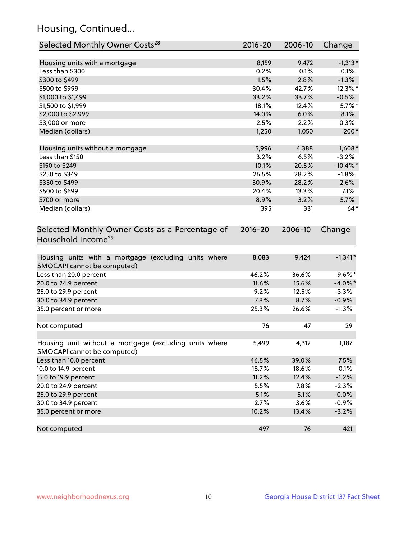## Housing, Continued...

| Selected Monthly Owner Costs <sup>28</sup>                                            | 2016-20     | 2006-10 | Change      |
|---------------------------------------------------------------------------------------|-------------|---------|-------------|
| Housing units with a mortgage                                                         | 8,159       | 9,472   | $-1,313*$   |
| Less than \$300                                                                       | 0.2%        | 0.1%    | 0.1%        |
| \$300 to \$499                                                                        | 1.5%        | 2.8%    | $-1.3%$     |
| \$500 to \$999                                                                        | 30.4%       | 42.7%   | $-12.3\%$ * |
| \$1,000 to \$1,499                                                                    | 33.2%       | 33.7%   | $-0.5%$     |
| \$1,500 to \$1,999                                                                    | 18.1%       | 12.4%   | $5.7\%$ *   |
| \$2,000 to \$2,999                                                                    | 14.0%       | 6.0%    | 8.1%        |
| \$3,000 or more                                                                       | 2.5%        | 2.2%    | 0.3%        |
| Median (dollars)                                                                      | 1,250       | 1,050   | $200*$      |
| Housing units without a mortgage                                                      | 5,996       | 4,388   | $1,608*$    |
| Less than \$150                                                                       | 3.2%        | 6.5%    | $-3.2%$     |
| \$150 to \$249                                                                        | 10.1%       | 20.5%   | $-10.4\%$ * |
| \$250 to \$349                                                                        | 26.5%       | 28.2%   | $-1.8%$     |
| \$350 to \$499                                                                        | 30.9%       | 28.2%   | 2.6%        |
| \$500 to \$699                                                                        | 20.4%       | 13.3%   | 7.1%        |
| \$700 or more                                                                         | 8.9%        | 3.2%    | 5.7%        |
| Median (dollars)                                                                      | 395         | 331     | $64*$       |
| Selected Monthly Owner Costs as a Percentage of<br>Household Income <sup>29</sup>     | $2016 - 20$ | 2006-10 | Change      |
| Housing units with a mortgage (excluding units where<br>SMOCAPI cannot be computed)   | 8,083       | 9,424   | $-1,341*$   |
| Less than 20.0 percent                                                                | 46.2%       | 36.6%   | $9.6\%$ *   |
| 20.0 to 24.9 percent                                                                  | 11.6%       | 15.6%   | $-4.0\%$ *  |
| 25.0 to 29.9 percent                                                                  | 9.2%        | 12.5%   | $-3.3%$     |
| 30.0 to 34.9 percent                                                                  | 7.8%        | 8.7%    | $-0.9%$     |
| 35.0 percent or more                                                                  | 25.3%       | 26.6%   | $-1.3%$     |
| Not computed                                                                          | 76          | 47      | 29          |
| Housing unit without a mortgage (excluding units where<br>SMOCAPI cannot be computed) | 5,499       | 4,312   | 1,187       |
| Less than 10.0 percent                                                                | 46.5%       | 39.0%   | 7.5%        |
| 10.0 to 14.9 percent                                                                  | 18.7%       | 18.6%   | 0.1%        |
| 15.0 to 19.9 percent                                                                  | 11.2%       | 12.4%   | $-1.2%$     |
| 20.0 to 24.9 percent                                                                  | 5.5%        | 7.8%    | $-2.3%$     |
| 25.0 to 29.9 percent                                                                  | 5.1%        | 5.1%    | $-0.0%$     |
| 30.0 to 34.9 percent                                                                  | 2.7%        | 3.6%    | $-0.9%$     |
| 35.0 percent or more                                                                  | 10.2%       | 13.4%   | $-3.2%$     |
| Not computed                                                                          | 497         | 76      | 421         |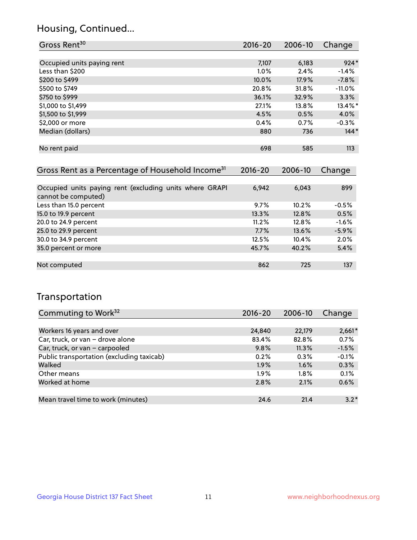## Housing, Continued...

| Gross Rent <sup>30</sup>                                     | $2016 - 20$ | 2006-10 | Change     |
|--------------------------------------------------------------|-------------|---------|------------|
|                                                              |             |         |            |
| Occupied units paying rent                                   | 7,107       | 6,183   | $924*$     |
| Less than \$200                                              | $1.0\%$     | 2.4%    | $-1.4%$    |
| \$200 to \$499                                               | 10.0%       | 17.9%   | $-7.8%$    |
| \$500 to \$749                                               | 20.8%       | 31.8%   | $-11.0%$   |
| \$750 to \$999                                               | 36.1%       | 32.9%   | 3.3%       |
| \$1,000 to \$1,499                                           | 27.1%       | 13.8%   | $13.4\%$ * |
| \$1,500 to \$1,999                                           | 4.5%        | 0.5%    | 4.0%       |
| \$2,000 or more                                              | 0.4%        | 0.7%    | $-0.3%$    |
| Median (dollars)                                             | 880         | 736     | $144*$     |
|                                                              |             |         |            |
| No rent paid                                                 | 698         | 585     | 113        |
|                                                              |             |         |            |
| Gross Rent as a Percentage of Household Income <sup>31</sup> | $2016 - 20$ | 2006-10 | Change     |

| Occupied units paying rent (excluding units where GRAPI | 6,942   | 6,043 | 899     |
|---------------------------------------------------------|---------|-------|---------|
| cannot be computed)                                     |         |       |         |
| Less than 15.0 percent                                  | $9.7\%$ | 10.2% | $-0.5%$ |
| 15.0 to 19.9 percent                                    | 13.3%   | 12.8% | 0.5%    |
| 20.0 to 24.9 percent                                    | 11.2%   | 12.8% | $-1.6%$ |
| 25.0 to 29.9 percent                                    | 7.7%    | 13.6% | $-5.9%$ |
| 30.0 to 34.9 percent                                    | 12.5%   | 10.4% | 2.0%    |
| 35.0 percent or more                                    | 45.7%   | 40.2% | 5.4%    |
|                                                         |         |       |         |
| Not computed                                            | 862     | 725   | 137     |

## Transportation

| Commuting to Work <sup>32</sup>           | 2016-20 | 2006-10 | Change   |
|-------------------------------------------|---------|---------|----------|
|                                           |         |         |          |
| Workers 16 years and over                 | 24,840  | 22,179  | $2,661*$ |
| Car, truck, or van - drove alone          | 83.4%   | 82.8%   | 0.7%     |
| Car, truck, or van - carpooled            | 9.8%    | 11.3%   | $-1.5%$  |
| Public transportation (excluding taxicab) | 0.2%    | 0.3%    | $-0.1%$  |
| Walked                                    | 1.9%    | 1.6%    | 0.3%     |
| Other means                               | $1.9\%$ | $1.8\%$ | 0.1%     |
| Worked at home                            | 2.8%    | 2.1%    | 0.6%     |
|                                           |         |         |          |
| Mean travel time to work (minutes)        | 24.6    | 21.4    | $3.2*$   |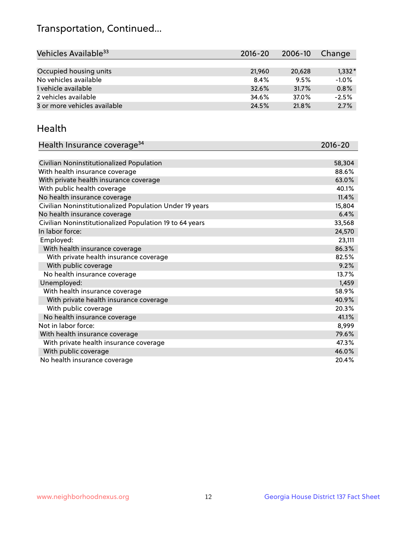## Transportation, Continued...

| Vehicles Available <sup>33</sup> | $2016 - 20$ | 2006-10 | Change   |
|----------------------------------|-------------|---------|----------|
|                                  |             |         |          |
| Occupied housing units           | 21,960      | 20,628  | $1,332*$ |
| No vehicles available            | 8.4%        | 9.5%    | $-1.0%$  |
| 1 vehicle available              | 32.6%       | 31.7%   | 0.8%     |
| 2 vehicles available             | 34.6%       | 37.0%   | $-2.5%$  |
| 3 or more vehicles available     | 24.5%       | 21.8%   | 2.7%     |

#### Health

| Health Insurance coverage <sup>34</sup>                 | 2016-20 |
|---------------------------------------------------------|---------|
|                                                         |         |
| Civilian Noninstitutionalized Population                | 58,304  |
| With health insurance coverage                          | 88.6%   |
| With private health insurance coverage                  | 63.0%   |
| With public health coverage                             | 40.1%   |
| No health insurance coverage                            | 11.4%   |
| Civilian Noninstitutionalized Population Under 19 years | 15,804  |
| No health insurance coverage                            | 6.4%    |
| Civilian Noninstitutionalized Population 19 to 64 years | 33,568  |
| In labor force:                                         | 24,570  |
| Employed:                                               | 23,111  |
| With health insurance coverage                          | 86.3%   |
| With private health insurance coverage                  | 82.5%   |
| With public coverage                                    | 9.2%    |
| No health insurance coverage                            | 13.7%   |
| Unemployed:                                             | 1,459   |
| With health insurance coverage                          | 58.9%   |
| With private health insurance coverage                  | 40.9%   |
| With public coverage                                    | 20.3%   |
| No health insurance coverage                            | 41.1%   |
| Not in labor force:                                     | 8,999   |
| With health insurance coverage                          | 79.6%   |
| With private health insurance coverage                  | 47.3%   |
| With public coverage                                    | 46.0%   |
| No health insurance coverage                            | 20.4%   |